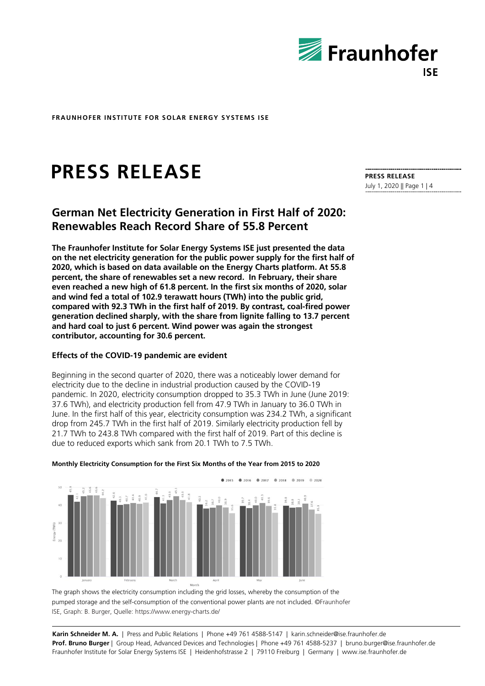

# **PRESS RELEASE**

## **German Net Electricity Generation in First Half of 2020: Renewables Reach Record Share of 55.8 Percent**

**The Fraunhofer Institute for Solar Energy Systems ISE just presented the data on the net electricity generation for the public power supply for the first half of 2020, which is based on data available on the Energy Charts platform. At 55.8 percent, the share of renewables set a new record. In February, their share even reached a new high of 61.8 percent. In the first six months of 2020, solar and wind fed a total of 102.9 terawatt hours (TWh) into the public grid, compared with 92.3 TWh in the first half of 2019. By contrast, coal-fired power generation declined sharply, with the share from lignite falling to 13.7 percent and hard coal to just 6 percent. Wind power was again the strongest contributor, accounting for 30.6 percent.** 

## **Effects of the COVID-19 pandemic are evident**

Beginning in the second quarter of 2020, there was a noticeably lower demand for electricity due to the decline in industrial production caused by the COVID-19 pandemic. In 2020, electricity consumption dropped to 35.3 TWh in June (June 2019: 37.6 TWh), and electricity production fell from 47.9 TWh in January to 36.0 TWh in June. In the first half of this year, electricity consumption was 234.2 TWh, a significant drop from 245.7 TWh in the first half of 2019. Similarly electricity production fell by 21.7 TWh to 243.8 TWh compared with the first half of 2019. Part of this decline is due to reduced exports which sank from 20.1 TWh to 7.5 TWh.



## **Monthly Electricity Consumption for the First Six Months of the Year from 2015 to 2020**

The graph shows the electricity consumption including the grid losses, whereby the consumption of the pumped storage and the self-consumption of the conventional power plants are not included. ©Fraunhofer ISE, Graph: B. Burger, Quelle: https://www.energy-charts.de/

**Karin Schneider M. A.** | Press and Public Relations | Phone +49 761 4588-5147 | karin.schneider@ise.fraunhofer.de **Prof. Bruno Burger** | Group Head, Advanced Devices and Technologies | Phone +49 761 4588-5237 | bruno.burger@ise.fraunhofer.de Fraunhofer Institute for Solar Energy Systems ISE | Heidenhofstrasse 2 | 79110 Freiburg | Germany | www.ise.fraunhofer.de

**PRESS RELEASE**  July 1, 2020 || Page 1 | 4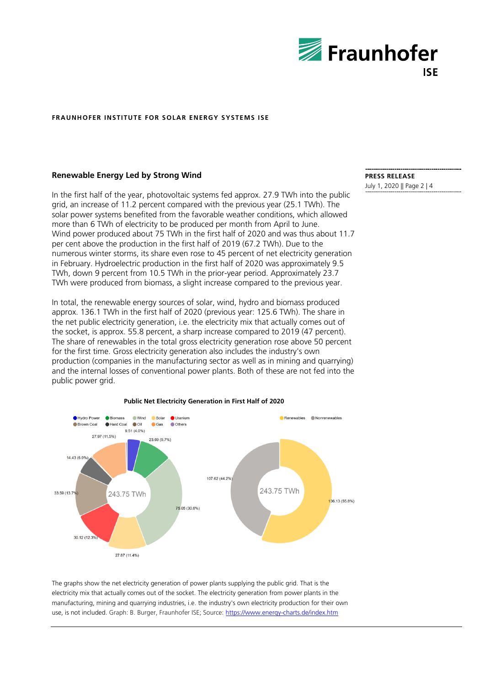

## **Renewable Energy Led by Strong Wind**

In the first half of the year, photovoltaic systems fed approx. 27.9 TWh into the public grid, an increase of 11.2 percent compared with the previous year (25.1 TWh). The solar power systems benefited from the favorable weather conditions, which allowed more than 6 TWh of electricity to be produced per month from April to June. Wind power produced about 75 TWh in the first half of 2020 and was thus about 11.7 per cent above the production in the first half of 2019 (67.2 TWh). Due to the numerous winter storms, its share even rose to 45 percent of net electricity generation in February. Hydroelectric production in the first half of 2020 was approximately 9.5 TWh, down 9 percent from 10.5 TWh in the prior-year period. Approximately 23.7 TWh were produced from biomass, a slight increase compared to the previous year.

In total, the renewable energy sources of solar, wind, hydro and biomass produced approx. 136.1 TWh in the first half of 2020 (previous year: 125.6 TWh). The share in the net public electricity generation, i.e. the electricity mix that actually comes out of the socket, is approx. 55.8 percent, a sharp increase compared to 2019 (47 percent). The share of renewables in the total gross electricity generation rose above 50 percent for the first time. Gross electricity generation also includes the industry's own production (companies in the manufacturing sector as well as in mining and quarrying) and the internal losses of conventional power plants. Both of these are not fed into the public power grid.



#### **Public Net Electricity Generation in First Half of 2020**

The graphs show the net electricity generation of power plants supplying the public grid. That is the electricity mix that actually comes out of the socket. The electricity generation from power plants in the manufacturing, mining and quarrying industries, i.e. the industry's own electricity production for their own use, is not included. Graph: B. Burger, Fraunhofer ISE; Source: https://www.energy-charts.de/index.htm

## **PRESS RELEASE**

July 1, 2020 || Page 2 | 4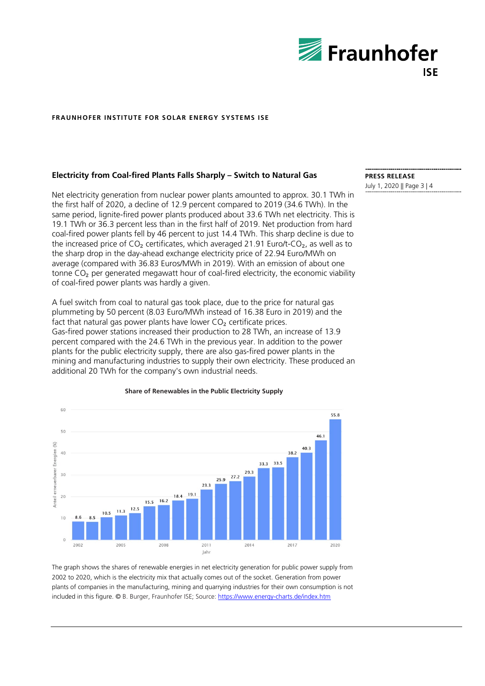

## **Electricity from Coal-fired Plants Falls Sharply – Switch to Natural Gas**

Net electricity generation from nuclear power plants amounted to approx. 30.1 TWh in the first half of 2020, a decline of 12.9 percent compared to 2019 (34.6 TWh). In the same period, lignite-fired power plants produced about 33.6 TWh net electricity. This is 19.1 TWh or 36.3 percent less than in the first half of 2019. Net production from hard coal-fired power plants fell by 46 percent to just 14.4 TWh. This sharp decline is due to the increased price of  $CO<sub>2</sub>$  certificates, which averaged 21.91 Euro/t-CO<sub>2</sub>, as well as to the sharp drop in the day-ahead exchange electricity price of 22.94 Euro/MWh on average (compared with 36.83 Euros/MWh in 2019). With an emission of about one tonne  $CO<sub>2</sub>$  per generated megawatt hour of coal-fired electricity, the economic viability of coal-fired power plants was hardly a given.

A fuel switch from coal to natural gas took place, due to the price for natural gas plummeting by 50 percent (8.03 Euro/MWh instead of 16.38 Euro in 2019) and the fact that natural gas power plants have lower  $CO<sub>2</sub>$  certificate prices. Gas-fired power stations increased their production to 28 TWh, an increase of 13.9 percent compared with the 24.6 TWh in the previous year. In addition to the power plants for the public electricity supply, there are also gas-fired power plants in the mining and manufacturing industries to supply their own electricity. These produced an additional 20 TWh for the company's own industrial needs.



**Share of Renewables in the Public Electricity Supply**

The graph shows the shares of renewable energies in net electricity generation for public power supply from 2002 to 2020, which is the electricity mix that actually comes out of the socket. Generation from power plants of companies in the manufacturing, mining and quarrying industries for their own consumption is not included in this figure. © B. Burger, Fraunhofer ISE; Source: https://www.energy-charts.de/index.htm

## **PRESS RELEASE**

July 1, 2020 || Page 3 | 4